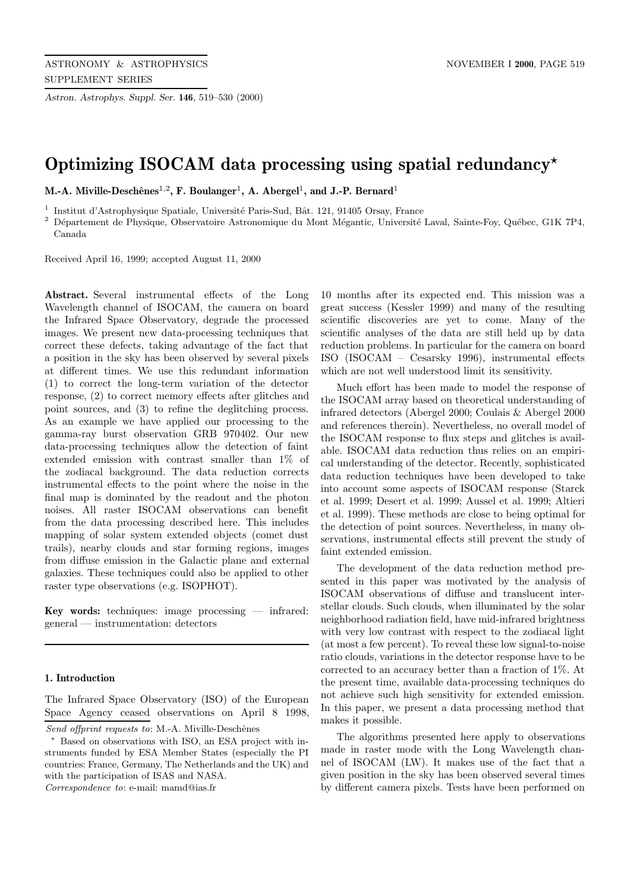*Astron. Astrophys. Suppl. Ser.* **146**, 519–530 (2000)

# **Optimizing ISOCAM data processing using spatial redundancy***?*

**M.-A. Miville-Deschênes**<sup>1,2</sup>, **F. Boulanger<sup>1</sup>, A. Abergel<sup>1</sup>, and J.-P. Bernard<sup>1</sup>** 

<sup>1</sup> Institut d'Astrophysique Spatiale, Université Paris-Sud, Bât. 121, 91405 Orsay, France

 $2$  Département de Physique, Observatoire Astronomique du Mont Mégantic, Université Laval, Sainte-Foy, Québec, G1K 7P4, Canada

Received April 16, 1999; accepted August 11, 2000

**Abstract.** Several instrumental effects of the Long Wavelength channel of ISOCAM, the camera on board the Infrared Space Observatory, degrade the processed images. We present new data-processing techniques that correct these defects, taking advantage of the fact that a position in the sky has been observed by several pixels at different times. We use this redundant information (1) to correct the long-term variation of the detector response, (2) to correct memory effects after glitches and point sources, and (3) to refine the deglitching process. As an example we have applied our processing to the gamma-ray burst observation GRB 970402. Our new data-processing techniques allow the detection of faint extended emission with contrast smaller than 1% of the zodiacal background. The data reduction corrects instrumental effects to the point where the noise in the final map is dominated by the readout and the photon noises. All raster ISOCAM observations can benefit from the data processing described here. This includes mapping of solar system extended objects (comet dust trails), nearby clouds and star forming regions, images from diffuse emission in the Galactic plane and external galaxies. These techniques could also be applied to other raster type observations (e.g. ISOPHOT).

**Key words:** techniques: image processing — infrared: general — instrumentation: detectors

# **1. Introduction**

The Infrared Space Observatory (ISO) of the European Space Agency ceased observations on April 8 1998,

Correspondence to: e-mail: mamd@ias.fr

10 months after its expected end. This mission was a great success (Kessler 1999) and many of the resulting scientific discoveries are yet to come. Many of the scientific analyses of the data are still held up by data reduction problems. In particular for the camera on board ISO (ISOCAM – Cesarsky 1996), instrumental effects which are not well understood limit its sensitivity.

Much effort has been made to model the response of the ISOCAM array based on theoretical understanding of infrared detectors (Abergel 2000; Coulais & Abergel 2000 and references therein). Nevertheless, no overall model of the ISOCAM response to flux steps and glitches is available. ISOCAM data reduction thus relies on an empirical understanding of the detector. Recently, sophisticated data reduction techniques have been developed to take into account some aspects of ISOCAM response (Starck et al. 1999; Desert et al. 1999; Aussel et al. 1999; Altieri et al. 1999). These methods are close to being optimal for the detection of point sources. Nevertheless, in many observations, instrumental effects still prevent the study of faint extended emission.

The development of the data reduction method presented in this paper was motivated by the analysis of ISOCAM observations of diffuse and translucent interstellar clouds. Such clouds, when illuminated by the solar neighborhood radiation field, have mid-infrared brightness with very low contrast with respect to the zodiacal light (at most a few percent). To reveal these low signal-to-noise ratio clouds, variations in the detector response have to be corrected to an accuracy better than a fraction of 1%. At the present time, available data-processing techniques do not achieve such high sensitivity for extended emission. In this paper, we present a data processing method that makes it possible.

The algorithms presented here apply to observations made in raster mode with the Long Wavelength channel of ISOCAM (LW). It makes use of the fact that a given position in the sky has been observed several times by different camera pixels. Tests have been performed on

Send offprint requests to: M.-A. Miville-Deschênes

<sup>?</sup> Based on observations with ISO, an ESA project with instruments funded by ESA Member States (especially the PI countries: France, Germany, The Netherlands and the UK) and with the participation of ISAS and NASA.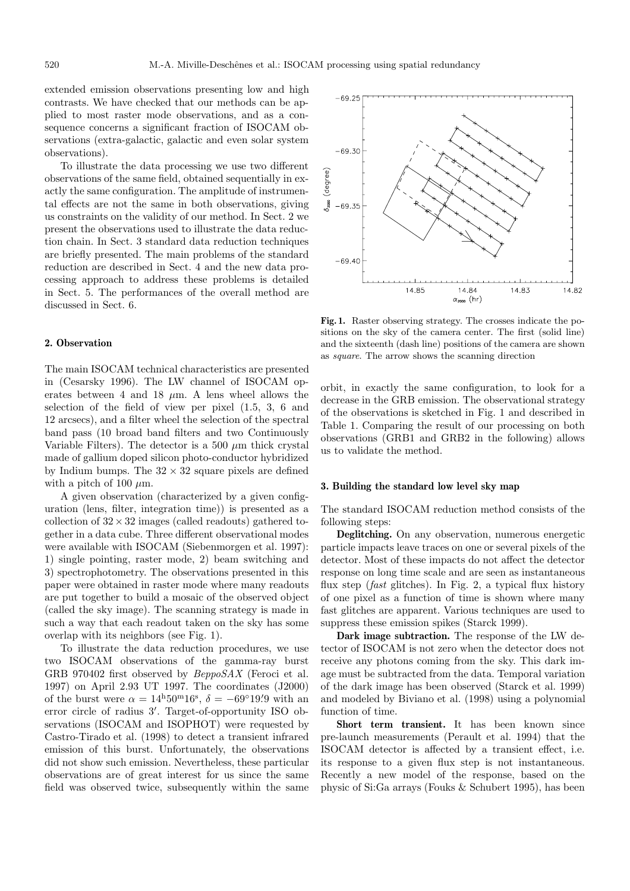extended emission observations presenting low and high contrasts. We have checked that our methods can be applied to most raster mode observations, and as a consequence concerns a significant fraction of ISOCAM observations (extra-galactic, galactic and even solar system observations).

To illustrate the data processing we use two different observations of the same field, obtained sequentially in exactly the same configuration. The amplitude of instrumental effects are not the same in both observations, giving us constraints on the validity of our method. In Sect. 2 we present the observations used to illustrate the data reduction chain. In Sect. 3 standard data reduction techniques are briefly presented. The main problems of the standard reduction are described in Sect. 4 and the new data processing approach to address these problems is detailed in Sect. 5. The performances of the overall method are discussed in Sect. 6.

# **2. Observation**

The main ISOCAM technical characteristics are presented in (Cesarsky 1996). The LW channel of ISOCAM operates between 4 and 18  $\mu$ m. A lens wheel allows the selection of the field of view per pixel (1.5, 3, 6 and 12 arcsecs), and a filter wheel the selection of the spectral band pass (10 broad band filters and two Continuously Variable Filters). The detector is a 500  $\mu$ m thick crystal made of gallium doped silicon photo-conductor hybridized by Indium bumps. The  $32 \times 32$  square pixels are defined with a pitch of 100  $\mu$ m.

A given observation (characterized by a given configuration (lens, filter, integration time)) is presented as a collection of  $32 \times 32$  images (called readouts) gathered together in a data cube. Three different observational modes were available with ISOCAM (Siebenmorgen et al. 1997): 1) single pointing, raster mode, 2) beam switching and 3) spectrophotometry. The observations presented in this paper were obtained in raster mode where many readouts are put together to build a mosaic of the observed object (called the sky image). The scanning strategy is made in such a way that each readout taken on the sky has some overlap with its neighbors (see Fig. 1).

To illustrate the data reduction procedures, we use two ISOCAM observations of the gamma-ray burst GRB 970402 first observed by BeppoSAX (Feroci et al. 1997) on April 2.93 UT 1997. The coordinates (J2000) of the burst were  $\alpha = 14^{\mathrm{h}}50^{\mathrm{m}}16^{\mathrm{s}}$ ,  $\delta = -69^{\circ}19'9$  with an error circle of radius 3'. Target-of-opportunity ISO observations (ISOCAM and ISOPHOT) were requested by Castro-Tirado et al. (1998) to detect a transient infrared emission of this burst. Unfortunately, the observations did not show such emission. Nevertheless, these particular observations are of great interest for us since the same field was observed twice, subsequently within the same

**Fig. 1.** Raster observing strategy. The crosses indicate the positions on the sky of the camera center. The first (solid line) and the sixteenth (dash line) positions of the camera are shown as square. The arrow shows the scanning direction

orbit, in exactly the same configuration, to look for a decrease in the GRB emission. The observational strategy of the observations is sketched in Fig. 1 and described in Table 1. Comparing the result of our processing on both observations (GRB1 and GRB2 in the following) allows us to validate the method.

## **3. Building the standard low level sky map**

The standard ISOCAM reduction method consists of the following steps:

**Deglitching.** On any observation, numerous energetic particle impacts leave traces on one or several pixels of the detector. Most of these impacts do not affect the detector response on long time scale and are seen as instantaneous flux step (fast glitches). In Fig. 2, a typical flux history of one pixel as a function of time is shown where many fast glitches are apparent. Various techniques are used to suppress these emission spikes (Starck 1999).

**Dark image subtraction.** The response of the LW detector of ISOCAM is not zero when the detector does not receive any photons coming from the sky. This dark image must be subtracted from the data. Temporal variation of the dark image has been observed (Starck et al. 1999) and modeled by Biviano et al. (1998) using a polynomial function of time.

**Short term transient.** It has been known since pre-launch measurements (Perault et al. 1994) that the ISOCAM detector is affected by a transient effect, i.e. its response to a given flux step is not instantaneous. Recently a new model of the response, based on the physic of Si:Ga arrays (Fouks & Schubert 1995), has been

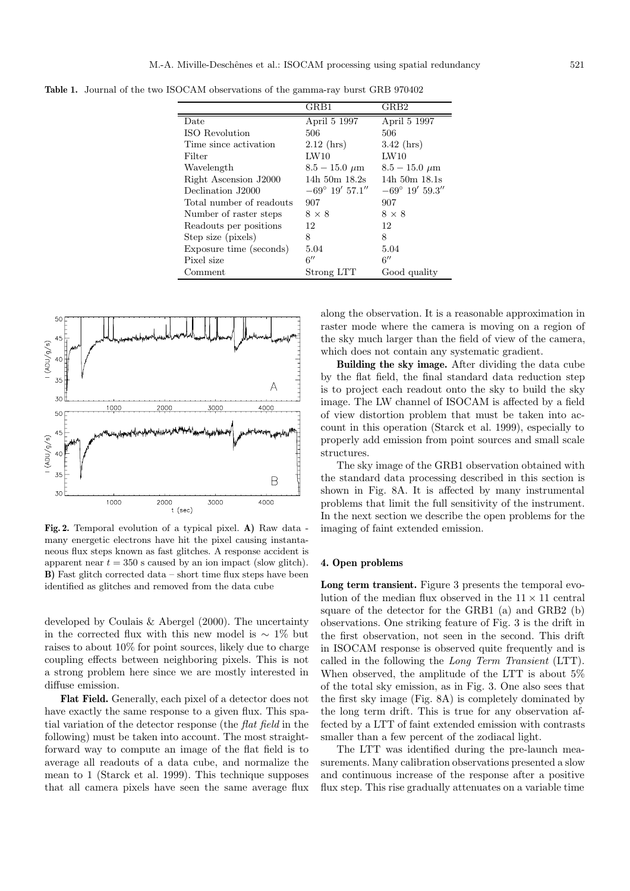**Table 1.** Journal of the two ISOCAM observations of the gamma-ray burst GRB 970402

 $\overline{a}$ 

|                          | GRB1                    | GRB2                    |  |
|--------------------------|-------------------------|-------------------------|--|
| Date                     | April 5 1997            | April 5 1997            |  |
| ISO Revolution           | 506                     | 506                     |  |
| Time since activation    | $2.12$ (hrs)            | $3.42$ (hrs)            |  |
| Filter                   | LW10                    | LW10                    |  |
| Wavelength               | $8.5 - 15.0 \mu m$      | $8.5 - 15.0 \mu m$      |  |
| Right Ascension J2000    | 14h $50m$ 18.2s         | $14h$ 50m $18.1s$       |  |
| Declination J2000        | $-69^{\circ}$ 19' 57.1" | $-69^{\circ}$ 19' 59.3" |  |
| Total number of readouts | 907                     | 907                     |  |
| Number of raster steps   | $8 \times 8$            | $8 \times 8$            |  |
| Readouts per positions   | 12                      | 12                      |  |
| Step size (pixels)       | 8                       | 8                       |  |
| Exposure time (seconds)  | 5.04                    | 5.04                    |  |
| Pixel size               | 6''                     | 6''                     |  |
| Comment                  | Strong LTT              | Good quality            |  |



**Fig. 2.** Temporal evolution of a typical pixel. **A)** Raw data many energetic electrons have hit the pixel causing instantaneous flux steps known as fast glitches. A response accident is apparent near  $t = 350$  s caused by an ion impact (slow glitch). **B)** Fast glitch corrected data – short time flux steps have been identified as glitches and removed from the data cube

developed by Coulais & Abergel (2000). The uncertainty in the corrected flux with this new model is  $\sim 1\%$  but raises to about 10% for point sources, likely due to charge coupling effects between neighboring pixels. This is not a strong problem here since we are mostly interested in diffuse emission.

**Flat Field.** Generally, each pixel of a detector does not have exactly the same response to a given flux. This spatial variation of the detector response (the flat field in the following) must be taken into account. The most straightforward way to compute an image of the flat field is to average all readouts of a data cube, and normalize the mean to 1 (Starck et al. 1999). This technique supposes that all camera pixels have seen the same average flux along the observation. It is a reasonable approximation in raster mode where the camera is moving on a region of the sky much larger than the field of view of the camera, which does not contain any systematic gradient.

**Building the sky image.** After dividing the data cube by the flat field, the final standard data reduction step is to project each readout onto the sky to build the sky image. The LW channel of ISOCAM is affected by a field of view distortion problem that must be taken into account in this operation (Starck et al. 1999), especially to properly add emission from point sources and small scale structures.

The sky image of the GRB1 observation obtained with the standard data processing described in this section is shown in Fig. 8A. It is affected by many instrumental problems that limit the full sensitivity of the instrument. In the next section we describe the open problems for the imaging of faint extended emission.

#### **4. Open problems**

**Long term transient.** Figure 3 presents the temporal evolution of the median flux observed in the  $11 \times 11$  central square of the detector for the GRB1 (a) and GRB2 (b) observations. One striking feature of Fig. 3 is the drift in the first observation, not seen in the second. This drift in ISOCAM response is observed quite frequently and is called in the following the Long Term Transient (LTT). When observed, the amplitude of the LTT is about 5% of the total sky emission, as in Fig. 3. One also sees that the first sky image (Fig. 8A) is completely dominated by the long term drift. This is true for any observation affected by a LTT of faint extended emission with contrasts smaller than a few percent of the zodiacal light.

The LTT was identified during the pre-launch measurements. Many calibration observations presented a slow and continuous increase of the response after a positive flux step. This rise gradually attenuates on a variable time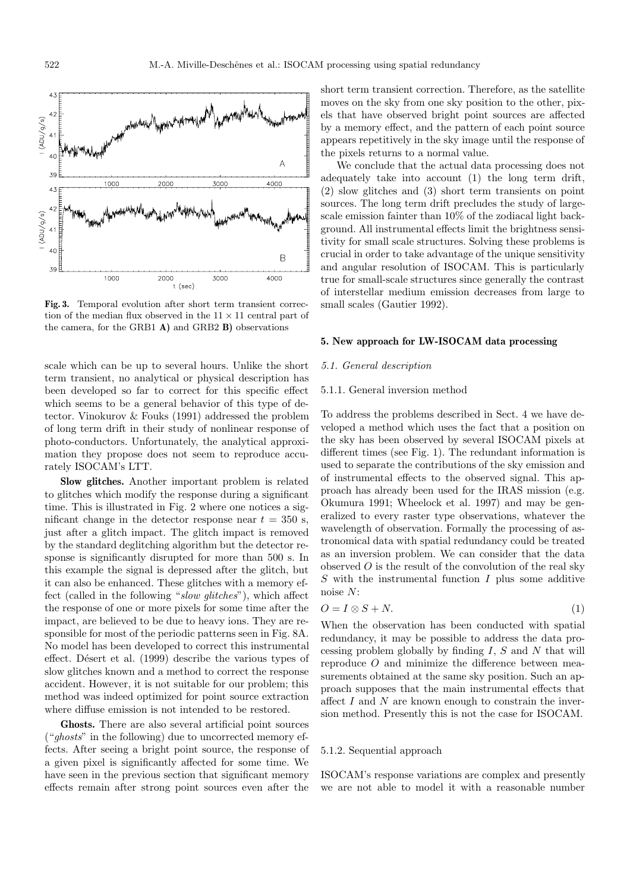

**Fig. 3.** Temporal evolution after short term transient correction of the median flux observed in the  $11 \times 11$  central part of the camera, for the GRB1 **A)** and GRB2 **B)** observations

scale which can be up to several hours. Unlike the short term transient, no analytical or physical description has been developed so far to correct for this specific effect which seems to be a general behavior of this type of detector. Vinokurov & Fouks (1991) addressed the problem of long term drift in their study of nonlinear response of photo-conductors. Unfortunately, the analytical approximation they propose does not seem to reproduce accurately ISOCAM's LTT.

**Slow glitches.** Another important problem is related to glitches which modify the response during a significant time. This is illustrated in Fig. 2 where one notices a significant change in the detector response near  $t = 350$  s, just after a glitch impact. The glitch impact is removed by the standard deglitching algorithm but the detector response is significantly disrupted for more than 500 s. In this example the signal is depressed after the glitch, but it can also be enhanced. These glitches with a memory effect (called in the following "slow glitches"), which affect the response of one or more pixels for some time after the impact, are believed to be due to heavy ions. They are responsible for most of the periodic patterns seen in Fig. 8A. No model has been developed to correct this instrumental effect. Désert et al. (1999) describe the various types of slow glitches known and a method to correct the response accident. However, it is not suitable for our problem; this method was indeed optimized for point source extraction where diffuse emission is not intended to be restored.

**Ghosts.** There are also several artificial point sources  $("ghosts"$  in the following) due to uncorrected memory effects. After seeing a bright point source, the response of a given pixel is significantly affected for some time. We have seen in the previous section that significant memory effects remain after strong point sources even after the

short term transient correction. Therefore, as the satellite moves on the sky from one sky position to the other, pixels that have observed bright point sources are affected by a memory effect, and the pattern of each point source appears repetitively in the sky image until the response of the pixels returns to a normal value.

We conclude that the actual data processing does not adequately take into account (1) the long term drift, (2) slow glitches and (3) short term transients on point sources. The long term drift precludes the study of largescale emission fainter than 10% of the zodiacal light background. All instrumental effects limit the brightness sensitivity for small scale structures. Solving these problems is crucial in order to take advantage of the unique sensitivity and angular resolution of ISOCAM. This is particularly true for small-scale structures since generally the contrast of interstellar medium emission decreases from large to small scales (Gautier 1992).

## **5. New approach for LW-ISOCAM data processing**

# 5.1. General description

## 5.1.1. General inversion method

To address the problems described in Sect. 4 we have developed a method which uses the fact that a position on the sky has been observed by several ISOCAM pixels at different times (see Fig. 1). The redundant information is used to separate the contributions of the sky emission and of instrumental effects to the observed signal. This approach has already been used for the IRAS mission (e.g. Okumura 1991; Wheelock et al. 1997) and may be generalized to every raster type observations, whatever the wavelength of observation. Formally the processing of astronomical data with spatial redundancy could be treated as an inversion problem. We can consider that the data observed  $O$  is the result of the convolution of the real sky  $S$  with the instrumental function  $I$  plus some additive noise N:

$$
O = I \otimes S + N. \tag{1}
$$

When the observation has been conducted with spatial redundancy, it may be possible to address the data processing problem globally by finding  $I, S$  and  $N$  that will reproduce O and minimize the difference between measurements obtained at the same sky position. Such an approach supposes that the main instrumental effects that affect  $I$  and  $N$  are known enough to constrain the inversion method. Presently this is not the case for ISOCAM.

#### 5.1.2. Sequential approach

ISOCAM's response variations are complex and presently we are not able to model it with a reasonable number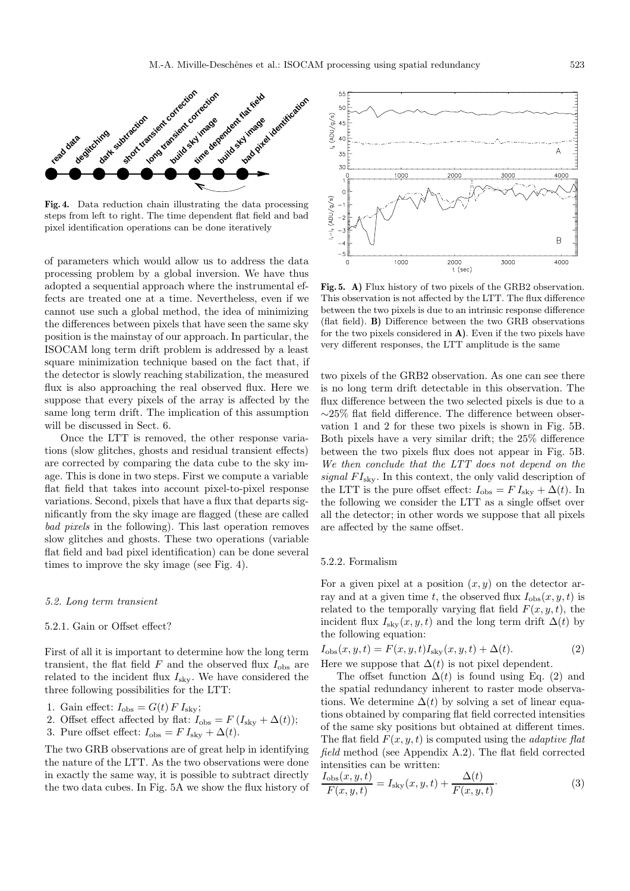

**Fig. 4.** Data reduction chain illustrating the data processing steps from left to right. The time dependent flat field and bad pixel identification operations can be done iteratively

of parameters which would allow us to address the data processing problem by a global inversion. We have thus adopted a sequential approach where the instrumental effects are treated one at a time. Nevertheless, even if we cannot use such a global method, the idea of minimizing the differences between pixels that have seen the same sky position is the mainstay of our approach. In particular, the ISOCAM long term drift problem is addressed by a least square minimization technique based on the fact that, if the detector is slowly reaching stabilization, the measured flux is also approaching the real observed flux. Here we suppose that every pixels of the array is affected by the same long term drift. The implication of this assumption will be discussed in Sect. 6.

Once the LTT is removed, the other response variations (slow glitches, ghosts and residual transient effects) are corrected by comparing the data cube to the sky image. This is done in two steps. First we compute a variable flat field that takes into account pixel-to-pixel response variations. Second, pixels that have a flux that departs significantly from the sky image are flagged (these are called bad pixels in the following). This last operation removes slow glitches and ghosts. These two operations (variable flat field and bad pixel identification) can be done several times to improve the sky image (see Fig. 4).

### 5.2. Long term transient

## 5.2.1. Gain or Offset effect?

First of all it is important to determine how the long term transient, the flat field  $F$  and the observed flux  $I_{obs}$  are related to the incident flux  $I_{\text{sky}}$ . We have considered the three following possibilities for the LTT:

1. Gain effect:  $I_{\text{obs}} = G(t) F I_{\text{sky}};$ 

2. Offset effect affected by flat: 
$$
I_{obs} = F(I_{sky} + \Delta(t));
$$

3. Pure offset effect:  $I_{obs} = F I_{sky} + \Delta(t)$ .

The two GRB observations are of great help in identifying the nature of the LTT. As the two observations were done in exactly the same way, it is possible to subtract directly the two data cubes. In Fig. 5A we show the flux history of



**Fig. 5. A)** Flux history of two pixels of the GRB2 observation. This observation is not affected by the LTT. The flux difference between the two pixels is due to an intrinsic response difference (flat field). **B)** Difference between the two GRB observations for the two pixels considered in **A)**. Even if the two pixels have very different responses, the LTT amplitude is the same

two pixels of the GRB2 observation. As one can see there is no long term drift detectable in this observation. The flux difference between the two selected pixels is due to a ∼25% flat field difference. The difference between observation 1 and 2 for these two pixels is shown in Fig. 5B. Both pixels have a very similar drift; the 25% difference between the two pixels flux does not appear in Fig. 5B. We then conclude that the LTT does not depend on the signal  $FI_{\rm sky}$ . In this context, the only valid description of the LTT is the pure offset effect:  $I_{obs} = F I_{sky} + \Delta(t)$ . In the following we consider the LTT as a single offset over all the detector; in other words we suppose that all pixels are affected by the same offset.

## 5.2.2. Formalism

For a given pixel at a position  $(x, y)$  on the detector array and at a given time t, the observed flux  $I_{obs}(x, y, t)$  is related to the temporally varying flat field  $F(x, y, t)$ , the incident flux  $I_{\rm sky}(x, y, t)$  and the long term drift  $\Delta(t)$  by the following equation:

$$
I_{obs}(x, y, t) = F(x, y, t)I_{sky}(x, y, t) + \Delta(t).
$$
\n(2)

\nHere we suppose that  $\Delta(t)$  is not pixel dependent.

The offset function  $\Delta(t)$  is found using Eq. (2) and the spatial redundancy inherent to raster mode observations. We determine  $\Delta(t)$  by solving a set of linear equations obtained by comparing flat field corrected intensities of the same sky positions but obtained at different times. The flat field  $F(x, y, t)$  is computed using the *adaptive flat* field method (see Appendix A.2). The flat field corrected intensities can be written:

$$
\frac{I_{\text{obs}}(x, y, t)}{F(x, y, t)} = I_{\text{sky}}(x, y, t) + \frac{\Delta(t)}{F(x, y, t)}.
$$
\n(3)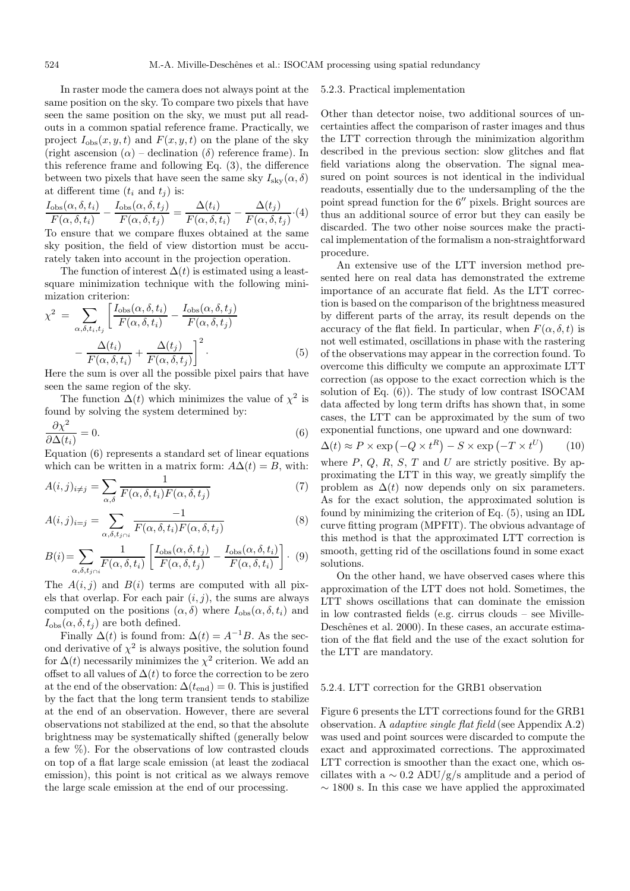In raster mode the camera does not always point at the same position on the sky. To compare two pixels that have seen the same position on the sky, we must put all readouts in a common spatial reference frame. Practically, we project  $I_{obs}(x, y, t)$  and  $F(x, y, t)$  on the plane of the sky (right ascension  $(\alpha)$  – declination  $(\delta)$  reference frame). In this reference frame and following Eq. (3), the difference between two pixels that have seen the same sky  $I_{\text{sky}}(\alpha, \delta)$ at different time  $(t_i \text{ and } t_j)$  is:

$$
\frac{I_{\text{obs}}(\alpha, \delta, t_i)}{F(\alpha, \delta, t_i)} - \frac{I_{\text{obs}}(\alpha, \delta, t_j)}{F(\alpha, \delta, t_j)} = \frac{\Delta(t_i)}{F(\alpha, \delta, t_i)} - \frac{\Delta(t_j)}{F(\alpha, \delta, t_j)} \cdot (4)
$$

To ensure that we compare fluxes obtained at the same sky position, the field of view distortion must be accurately taken into account in the projection operation.

The function of interest  $\Delta(t)$  is estimated using a leastsquare minimization technique with the following minimization criterion:

$$
\chi^2 = \sum_{\alpha, \delta, t_i, t_j} \left[ \frac{I_{\text{obs}}(\alpha, \delta, t_i)}{F(\alpha, \delta, t_i)} - \frac{I_{\text{obs}}(\alpha, \delta, t_j)}{F(\alpha, \delta, t_j)} - \frac{\Delta(t_i)}{F(\alpha, \delta, t_i)} + \frac{\Delta(t_j)}{F(\alpha, \delta, t_j)} \right]^2.
$$
\n(5)

Here the sum is over all the possible pixel pairs that have seen the same region of the sky.

The function  $\Delta(t)$  which minimizes the value of  $\chi^2$  is found by solving the system determined by:

$$
\frac{\partial \chi^2}{\partial \Delta(t_i)} = 0. \tag{6}
$$

Equation (6) represents a standard set of linear equations which can be written in a matrix form:  $A\Delta(t) = B$ , with:

$$
A(i,j)_{i \neq j} = \sum_{\alpha,\delta} \frac{1}{F(\alpha,\delta,t_i)F(\alpha,\delta,t_j)}
$$
(7)

$$
A(i,j)_{i=j} = \sum_{\alpha,\delta,t_{j\cap i}} \frac{-1}{F(\alpha,\delta,t_i)F(\alpha,\delta,t_j)}
$$
(8)

$$
B(i) = \sum_{\alpha, \delta, t_j \cap i} \frac{1}{F(\alpha, \delta, t_i)} \left[ \frac{I_{\text{obs}}(\alpha, \delta, t_j)}{F(\alpha, \delta, t_j)} - \frac{I_{\text{obs}}(\alpha, \delta, t_i)}{F(\alpha, \delta, t_i)} \right]. \tag{9}
$$

The  $A(i, j)$  and  $B(i)$  terms are computed with all pixels that overlap. For each pair  $(i, j)$ , the sums are always computed on the positions  $(\alpha, \delta)$  where  $I_{obs}(\alpha, \delta, t_i)$  and  $I_{obs}(\alpha, \delta, t_j)$  are both defined.

Finally  $\Delta(t)$  is found from:  $\Delta(t) = A^{-1}B$ . As the second derivative of  $\chi^2$  is always positive, the solution found for  $\Delta(t)$  necessarily minimizes the  $\chi^2$  criterion. We add an offset to all values of  $\Delta(t)$  to force the correction to be zero at the end of the observation:  $\Delta(t_{\text{end}}) = 0$ . This is justified by the fact that the long term transient tends to stabilize at the end of an observation. However, there are several observations not stabilized at the end, so that the absolute brightness may be systematically shifted (generally below a few %). For the observations of low contrasted clouds on top of a flat large scale emission (at least the zodiacal emission), this point is not critical as we always remove the large scale emission at the end of our processing.

## 5.2.3. Practical implementation

Other than detector noise, two additional sources of uncertainties affect the comparison of raster images and thus the LTT correction through the minimization algorithm described in the previous section: slow glitches and flat field variations along the observation. The signal measured on point sources is not identical in the individual readouts, essentially due to the undersampling of the the point spread function for the  $6''$  pixels. Bright sources are thus an additional source of error but they can easily be discarded. The two other noise sources make the practical implementation of the formalism a non-straightforward procedure.

An extensive use of the LTT inversion method presented here on real data has demonstrated the extreme importance of an accurate flat field. As the LTT correction is based on the comparison of the brightness measured by different parts of the array, its result depends on the accuracy of the flat field. In particular, when  $F(\alpha, \delta, t)$  is not well estimated, oscillations in phase with the rastering of the observations may appear in the correction found. To overcome this difficulty we compute an approximate LTT correction (as oppose to the exact correction which is the solution of Eq. (6)). The study of low contrast ISOCAM data affected by long term drifts has shown that, in some cases, the LTT can be approximated by the sum of two exponential functions, one upward and one downward:

 $\Delta(t) \approx P \times \exp(-Q \times t^R) - S \times \exp(-T \times t)$  $(10)$ where  $P, Q, R, S, T$  and U are strictly positive. By approximating the LTT in this way, we greatly simplify the problem as  $\Delta(t)$  now depends only on six parameters. As for the exact solution, the approximated solution is found by minimizing the criterion of Eq. (5), using an IDL curve fitting program (MPFIT). The obvious advantage of this method is that the approximated LTT correction is smooth, getting rid of the oscillations found in some exact solutions.

On the other hand, we have observed cases where this approximation of the LTT does not hold. Sometimes, the LTT shows oscillations that can dominate the emission in low contrasted fields (e.g. cirrus clouds – see Miville-Deschênes et al. 2000). In these cases, an accurate estimation of the flat field and the use of the exact solution for the LTT are mandatory.

## 5.2.4. LTT correction for the GRB1 observation

Figure 6 presents the LTT corrections found for the GRB1 observation. A adaptive single flat field (see Appendix A.2) was used and point sources were discarded to compute the exact and approximated corrections. The approximated LTT correction is smoother than the exact one, which oscillates with a  $\sim 0.2$  ADU/g/s amplitude and a period of  $\sim$  1800 s. In this case we have applied the approximated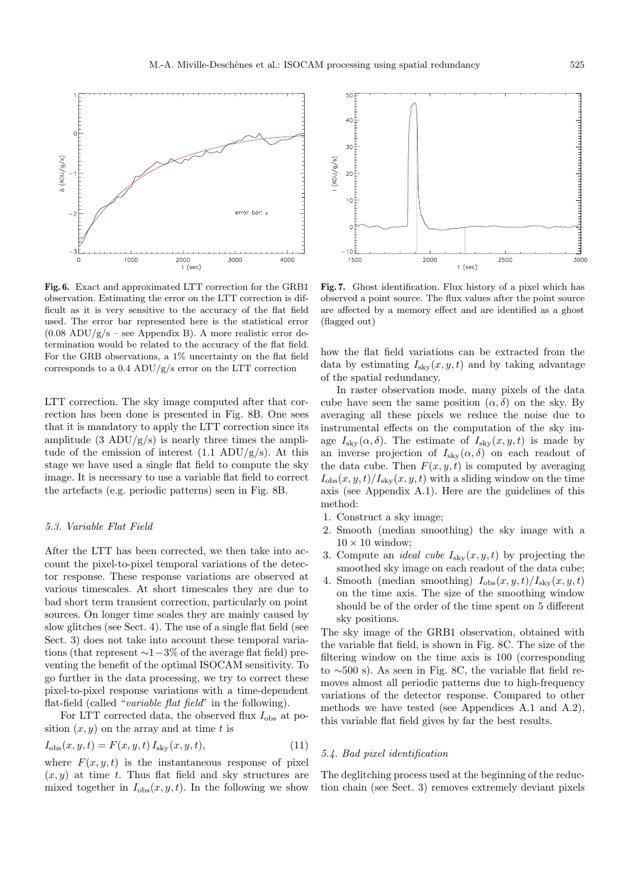

**Fig. 6.** Exact and approximated LTT correction for the GRB1 observation. Estimating the error on the LTT correction is difficult as it is very sensitive to the accuracy of the flat field used. The error bar represented here is the statistical error  $(0.08 \text{ ADU/g/s} - \text{see Appendix B}).$  A more realistic error determination would be related to the accuracy of the flat field. For the GRB observations, a 1% uncertainty on the flat field corresponds to a 0.4 ADU/g/s error on the LTT correction

LTT correction. The sky image computed after that correction has been done is presented in Fig. 8B. One sees that it is mandatory to apply the LTT correction since its amplitude  $(3 \text{ ADU/g/s})$  is nearly three times the amplitude of the emission of interest  $(1.1 \text{ ADU/g/s})$ . At this stage we have used a single flat field to compute the sky image. It is necessary to use a variable flat field to correct the artefacts (e.g. periodic patterns) seen in Fig. 8B.

# 5.3. Variable Flat Field

After the LTT has been corrected, we then take into account the pixel-to-pixel temporal variations of the detector response. These response variations are observed at various timescales. At short timescales they are due to bad short term transient correction, particularly on point sources. On longer time scales they are mainly caused by slow glitches (see Sect. 4). The use of a single flat field (see Sect. 3) does not take into account these temporal variations (that represent  $\sim$ 1−3% of the average flat field) preventing the benefit of the optimal ISOCAM sensitivity. To go further in the data processing, we try to correct these pixel-to-pixel response variations with a time-dependent flat-field (called "variable flat field" in the following).

For LTT corrected data, the observed flux  $I_{\text{obs}}$  at position  $(x, y)$  on the array and at time t is

$$
I_{\rm obs}(x, y, t) = F(x, y, t) I_{\rm sky}(x, y, t),
$$
\n(11)

where  $F(x, y, t)$  is the instantaneous response of pixel  $(x, y)$  at time t. Thus flat field and sky structures are mixed together in  $I_{obs}(x, y, t)$ . In the following we show



**Fig. 7.** Ghost identification. Flux history of a pixel which has observed a point source. The flux values after the point source are affected by a memory effect and are identified as a ghost (flagged out)

how the flat field variations can be extracted from the data by estimating  $I_{\text{sky}}(x, y, t)$  and by taking advantage of the spatial redundancy.

In raster observation mode, many pixels of the data cube have seen the same position  $(\alpha, \delta)$  on the sky. By averaging all these pixels we reduce the noise due to instrumental effects on the computation of the sky image  $I_{\text{sky}}(\alpha, \delta)$ . The estimate of  $I_{\text{sky}}(x, y, t)$  is made by an inverse projection of  $I_{\text{sky}}(\alpha, \delta)$  on each readout of the data cube. Then  $F(x, y, t)$  is computed by averaging  $I_{obs}(x, y, t)/I_{\rm sky}(x, y, t)$  with a sliding window on the time axis (see Appendix A.1). Here are the guidelines of this method:

- 1. Construct a sky image;
- 2. Smooth (median smoothing) the sky image with a  $10 \times 10$  window;
- 3. Compute an *ideal cube*  $I_{\text{sky}}(x, y, t)$  by projecting the smoothed sky image on each readout of the data cube;
- 4. Smooth (median smoothing)  $I_{obs}(x, y, t)/I_{\rm sky}(x, y, t)$ on the time axis. The size of the smoothing window should be of the order of the time spent on 5 different sky positions.

The sky image of the GRB1 observation, obtained with the variable flat field, is shown in Fig. 8C. The size of the filtering window on the time axis is 100 (corresponding to ∼500 s). As seen in Fig. 8C, the variable flat field removes almost all periodic patterns due to high-frequency variations of the detector response. Compared to other methods we have tested (see Appendices A.1 and A.2), this variable flat field gives by far the best results.

## 5.4. Bad pixel identification

The deglitching process used at the beginning of the reduction chain (see Sect. 3) removes extremely deviant pixels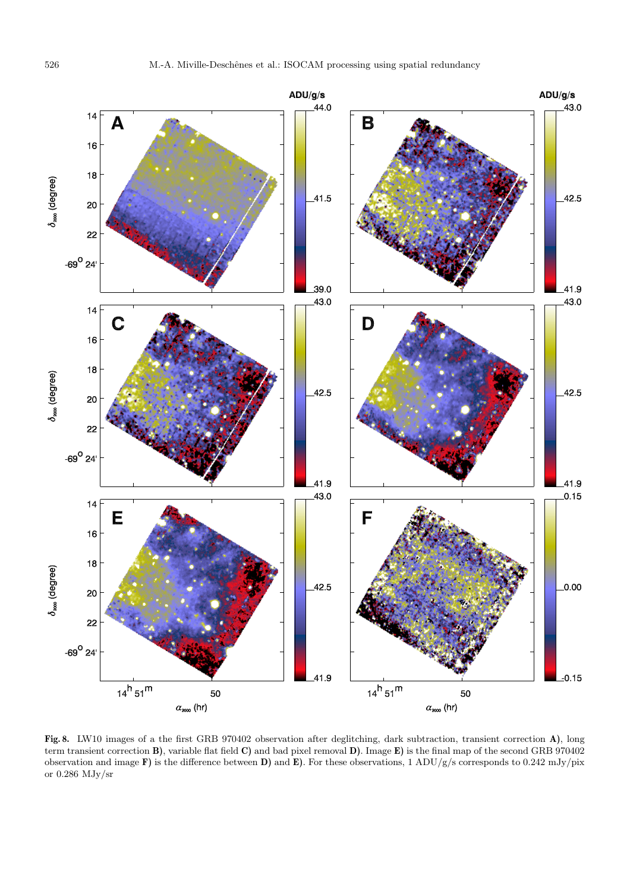

**Fig. 8.** LW10 images of a the first GRB 970402 observation after deglitching, dark subtraction, transient correction **A)**, long term transient correction **B)**, variable flat field **C)** and bad pixel removal **D)**. Image **E)** is the final map of the second GRB 970402 observation and image **F)** is the difference between **D)** and **E)**. For these observations, 1 ADU/g/s corresponds to 0.242 mJy/pix or 0.286 MJy/sr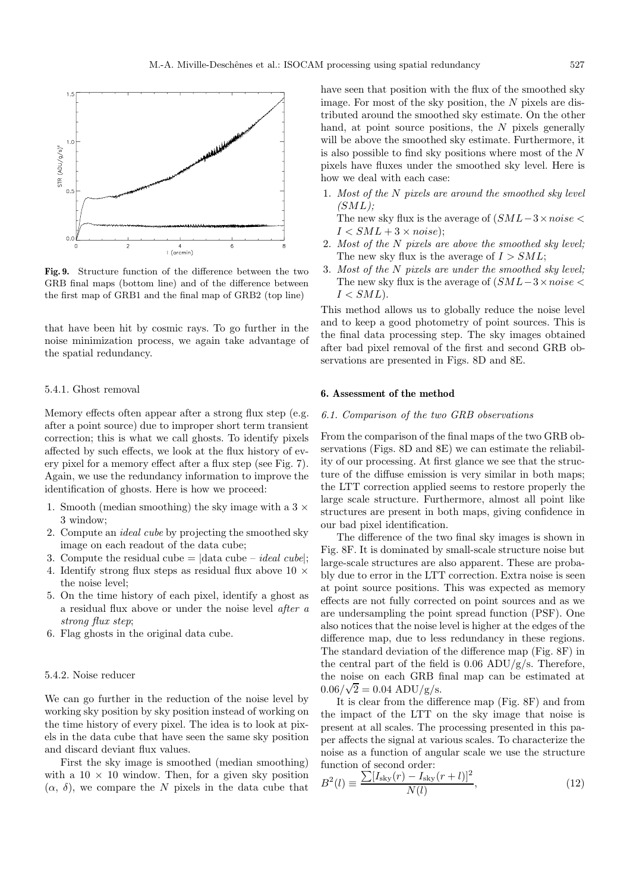

**Fig. 9.** Structure function of the difference between the two GRB final maps (bottom line) and of the difference between the first map of GRB1 and the final map of GRB2 (top line)

that have been hit by cosmic rays. To go further in the noise minimization process, we again take advantage of the spatial redundancy.

# 5.4.1. Ghost removal

Memory effects often appear after a strong flux step (e.g. after a point source) due to improper short term transient correction; this is what we call ghosts. To identify pixels affected by such effects, we look at the flux history of every pixel for a memory effect after a flux step (see Fig. 7). Again, we use the redundancy information to improve the identification of ghosts. Here is how we proceed:

- 1. Smooth (median smoothing) the sky image with a  $3 \times$ 3 window;
- 2. Compute an ideal cube by projecting the smoothed sky image on each readout of the data cube;
- 3. Compute the residual cube  $= |data cube ideal cube|$ ;
- 4. Identify strong flux steps as residual flux above 10  $\times$ the noise level;
- 5. On the time history of each pixel, identify a ghost as a residual flux above or under the noise level after a strong flux step;
- 6. Flag ghosts in the original data cube.

# 5.4.2. Noise reducer

We can go further in the reduction of the noise level by working sky position by sky position instead of working on the time history of every pixel. The idea is to look at pixels in the data cube that have seen the same sky position and discard deviant flux values.

First the sky image is smoothed (median smoothing) with a  $10 \times 10$  window. Then, for a given sky position  $(\alpha, \delta)$ , we compare the N pixels in the data cube that have seen that position with the flux of the smoothed sky image. For most of the sky position, the  $N$  pixels are distributed around the smoothed sky estimate. On the other hand, at point source positions, the  $N$  pixels generally will be above the smoothed sky estimate. Furthermore, it is also possible to find sky positions where most of the  $N$ pixels have fluxes under the smoothed sky level. Here is how we deal with each case:

1. Most of the N pixels are around the smoothed sky level  $(SML)$ :

The new sky flux is the average of  $(SML-3\times noise <$  $I < SML + 3 \times noise$ ;

- 2. Most of the N pixels are above the smoothed sky level; The new sky flux is the average of  $I > SML$ ;
- 3. Most of the N pixels are under the smoothed sky level; The new sky flux is the average of  $(SML-3\times noise <$  $I$

This method allows us to globally reduce the noise level and to keep a good photometry of point sources. This is the final data processing step. The sky images obtained after bad pixel removal of the first and second GRB observations are presented in Figs. 8D and 8E.

## **6. Assessment of the method**

# 6.1. Comparison of the two GRB observations

From the comparison of the final maps of the two GRB observations (Figs. 8D and 8E) we can estimate the reliability of our processing. At first glance we see that the structure of the diffuse emission is very similar in both maps; the LTT correction applied seems to restore properly the large scale structure. Furthermore, almost all point like structures are present in both maps, giving confidence in our bad pixel identification.

The difference of the two final sky images is shown in Fig. 8F. It is dominated by small-scale structure noise but large-scale structures are also apparent. These are probably due to error in the LTT correction. Extra noise is seen at point source positions. This was expected as memory effects are not fully corrected on point sources and as we are undersampling the point spread function (PSF). One also notices that the noise level is higher at the edges of the difference map, due to less redundancy in these regions. The standard deviation of the difference map (Fig. 8F) in the central part of the field is  $0.06$  ADU/g/s. Therefore, the noise on each GRB final map can be estimated at  $0.06/\sqrt{2} = 0.04$  ADU/g/s.

It is clear from the difference map (Fig. 8F) and from the impact of the LTT on the sky image that noise is present at all scales. The processing presented in this paper affects the signal at various scales. To characterize the noise as a function of angular scale we use the structure function of second order:

$$
B^{2}(l) \equiv \frac{\sum [I_{\rm sky}(r) - I_{\rm sky}(r+l)]^{2}}{N(l)},
$$
\n(12)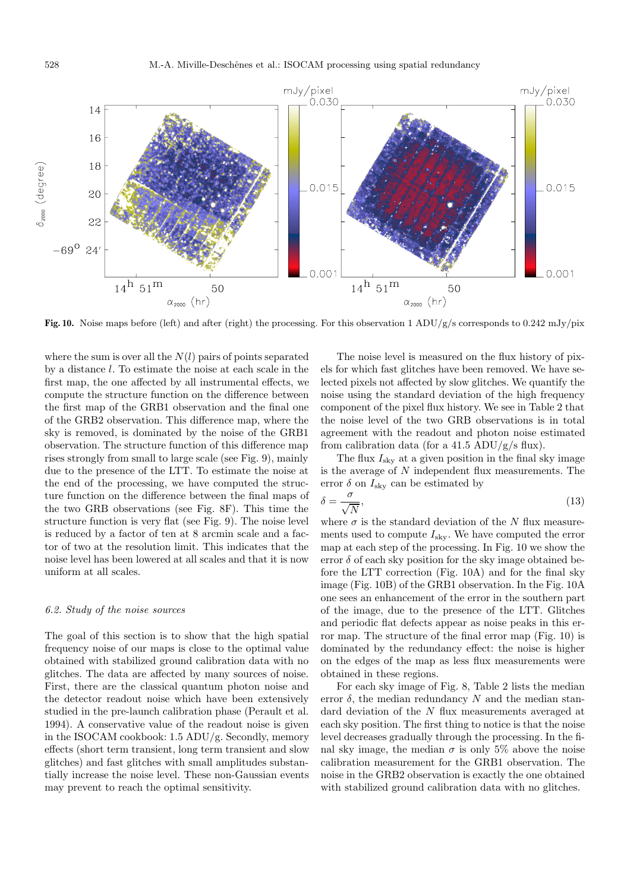

**Fig. 10.** Noise maps before (left) and after (right) the processing. For this observation 1 ADU/g/s corresponds to 0.242 mJy/pix

where the sum is over all the  $N(l)$  pairs of points separated by a distance l. To estimate the noise at each scale in the first map, the one affected by all instrumental effects, we compute the structure function on the difference between the first map of the GRB1 observation and the final one of the GRB2 observation. This difference map, where the sky is removed, is dominated by the noise of the GRB1 observation. The structure function of this difference map rises strongly from small to large scale (see Fig. 9), mainly due to the presence of the LTT. To estimate the noise at the end of the processing, we have computed the structure function on the difference between the final maps of the two GRB observations (see Fig. 8F). This time the structure function is very flat (see Fig. 9). The noise level is reduced by a factor of ten at 8 arcmin scale and a factor of two at the resolution limit. This indicates that the noise level has been lowered at all scales and that it is now uniform at all scales.

# 6.2. Study of the noise sources

The goal of this section is to show that the high spatial frequency noise of our maps is close to the optimal value obtained with stabilized ground calibration data with no glitches. The data are affected by many sources of noise. First, there are the classical quantum photon noise and the detector readout noise which have been extensively studied in the pre-launch calibration phase (Perault et al. 1994). A conservative value of the readout noise is given in the ISOCAM cookbook: 1.5 ADU/g. Secondly, memory effects (short term transient, long term transient and slow glitches) and fast glitches with small amplitudes substantially increase the noise level. These non-Gaussian events may prevent to reach the optimal sensitivity.

The noise level is measured on the flux history of pixels for which fast glitches have been removed. We have selected pixels not affected by slow glitches. We quantify the noise using the standard deviation of the high frequency component of the pixel flux history. We see in Table 2 that the noise level of the two GRB observations is in total agreement with the readout and photon noise estimated from calibration data (for a 41.5 ADU/g/s flux).

The flux  $I_{\rm sky}$  at a given position in the final sky image is the average of N independent flux measurements. The error  $\delta$  on  $I_{\rm sky}$  can be estimated by

$$
\delta = \frac{\sigma}{\sqrt{N}},\tag{13}
$$

where  $\sigma$  is the standard deviation of the N flux measurements used to compute  $I_{\text{sky}}$ . We have computed the error map at each step of the processing. In Fig. 10 we show the error  $\delta$  of each sky position for the sky image obtained before the LTT correction (Fig. 10A) and for the final sky image (Fig. 10B) of the GRB1 observation. In the Fig. 10A one sees an enhancement of the error in the southern part of the image, due to the presence of the LTT. Glitches and periodic flat defects appear as noise peaks in this error map. The structure of the final error map (Fig. 10) is dominated by the redundancy effect: the noise is higher on the edges of the map as less flux measurements were obtained in these regions.

For each sky image of Fig. 8, Table 2 lists the median error  $\delta$ , the median redundancy N and the median standard deviation of the N flux measurements averaged at each sky position. The first thing to notice is that the noise level decreases gradually through the processing. In the final sky image, the median  $\sigma$  is only 5% above the noise calibration measurement for the GRB1 observation. The noise in the GRB2 observation is exactly the one obtained with stabilized ground calibration data with no glitches.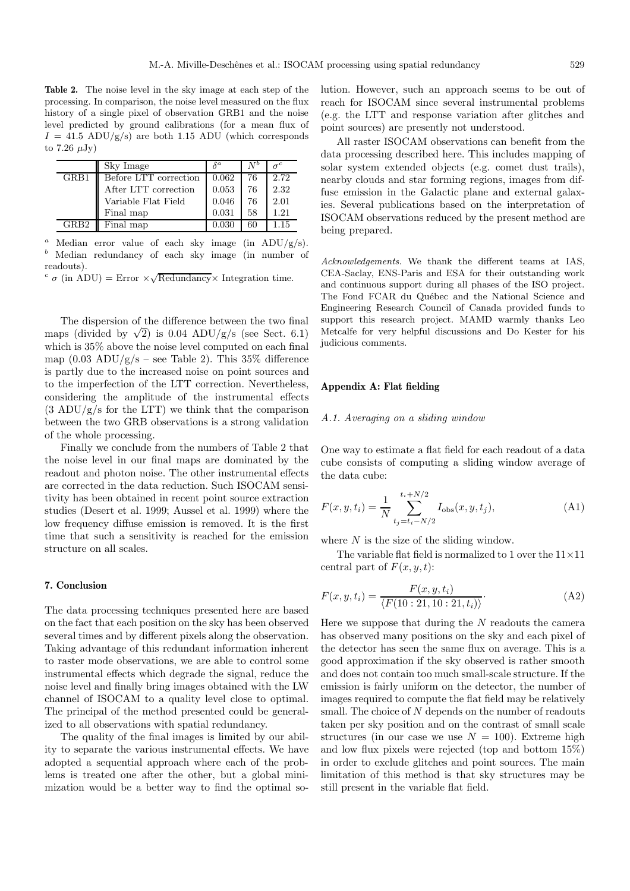**Table 2.** The noise level in the sky image at each step of the processing. In comparison, the noise level measured on the flux history of a single pixel of observation GRB1 and the noise level predicted by ground calibrations (for a mean flux of  $I = 41.5$  ADU/g/s) are both 1.15 ADU (which corresponds to 7.26  $\mu$ Jy)

|      | Sky Image             | $\delta^a$ |    |      |
|------|-----------------------|------------|----|------|
| GRB1 | Before LTT correction | 0.062      | 76 | 2.72 |
|      | After LTT correction  | 0.053      | 76 | 2.32 |
|      | Variable Flat Field   | 0.046      | 76 | 2.01 |
|      | Final map             | 0.031      | 58 | 1.21 |
| GRB2 | Final map             | 0.030      | 60 | 1.15 |

Median error value of each sky image (in  $ADU/g/s$ ). <sup>b</sup> Median redundancy of each sky image (in number of readouts).

 $c \sigma$  (in ADU) = Error  $\times \sqrt{\text{Redundancy}} \times \text{Integration time.}$ 

The dispersion of the difference between the two final maps (divided by  $\sqrt{2}$ ) is 0.04 ADU/g/s (see Sect. 6.1) which is 35% above the noise level computed on each final map  $(0.03 \text{ ADU/g/s} - \text{see Table 2})$ . This 35% difference is partly due to the increased noise on point sources and to the imperfection of the LTT correction. Nevertheless, considering the amplitude of the instrumental effects  $(3 \text{ ADU/g/s}$  for the LTT) we think that the comparison between the two GRB observations is a strong validation of the whole processing.

Finally we conclude from the numbers of Table 2 that the noise level in our final maps are dominated by the readout and photon noise. The other instrumental effects are corrected in the data reduction. Such ISOCAM sensitivity has been obtained in recent point source extraction studies (Desert et al. 1999; Aussel et al. 1999) where the low frequency diffuse emission is removed. It is the first time that such a sensitivity is reached for the emission structure on all scales.

# **7. Conclusion**

The data processing techniques presented here are based on the fact that each position on the sky has been observed several times and by different pixels along the observation. Taking advantage of this redundant information inherent to raster mode observations, we are able to control some instrumental effects which degrade the signal, reduce the noise level and finally bring images obtained with the LW channel of ISOCAM to a quality level close to optimal. The principal of the method presented could be generalized to all observations with spatial redundancy.

The quality of the final images is limited by our ability to separate the various instrumental effects. We have adopted a sequential approach where each of the problems is treated one after the other, but a global minimization would be a better way to find the optimal solution. However, such an approach seems to be out of reach for ISOCAM since several instrumental problems (e.g. the LTT and response variation after glitches and point sources) are presently not understood.

All raster ISOCAM observations can benefit from the data processing described here. This includes mapping of solar system extended objects (e.g. comet dust trails), nearby clouds and star forming regions, images from diffuse emission in the Galactic plane and external galaxies. Several publications based on the interpretation of ISOCAM observations reduced by the present method are being prepared.

Acknowledgements. We thank the different teams at IAS, CEA-Saclay, ENS-Paris and ESA for their outstanding work and continuous support during all phases of the ISO project. The Fond FCAR du Québec and the National Science and Engineering Research Council of Canada provided funds to support this research project. MAMD warmly thanks Leo Metcalfe for very helpful discussions and Do Kester for his judicious comments.

# **Appendix A: Flat fielding**

#### A.1. Averaging on a sliding window

One way to estimate a flat field for each readout of a data cube consists of computing a sliding window average of the data cube:

$$
F(x, y, t_i) = \frac{1}{N} \sum_{t_j = t_i - N/2}^{t_i + N/2} I_{obs}(x, y, t_j),
$$
 (A1)

where  $N$  is the size of the sliding window.

The variable flat field is normalized to 1 over the  $11\times11$ central part of  $F(x, y, t)$ :

$$
F(x, y, t_i) = \frac{F(x, y, t_i)}{\langle F(10:21, 10:21, t_i) \rangle}.
$$
 (A2)

Here we suppose that during the  $N$  readouts the camera has observed many positions on the sky and each pixel of the detector has seen the same flux on average. This is a good approximation if the sky observed is rather smooth and does not contain too much small-scale structure. If the emission is fairly uniform on the detector, the number of images required to compute the flat field may be relatively small. The choice of  $N$  depends on the number of readouts taken per sky position and on the contrast of small scale structures (in our case we use  $N = 100$ ). Extreme high and low flux pixels were rejected (top and bottom 15%) in order to exclude glitches and point sources. The main limitation of this method is that sky structures may be still present in the variable flat field.